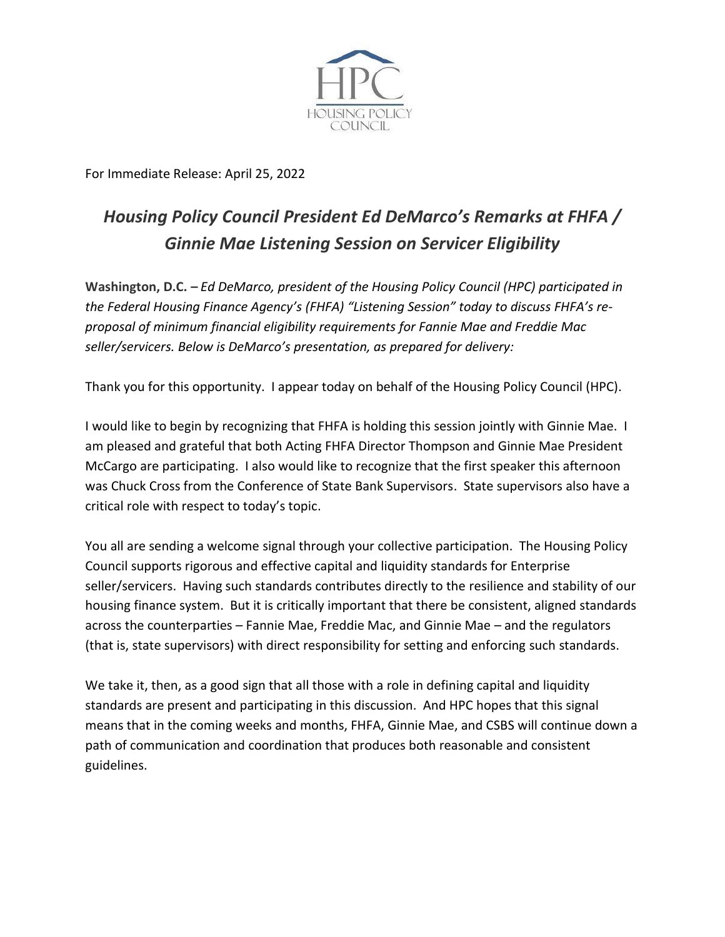

For Immediate Release: April 25, 2022

## *Housing Policy Council President Ed DeMarco's Remarks at FHFA / Ginnie Mae Listening Session on Servicer Eligibility*

**Washington, D.C. –** *Ed DeMarco, president of the Housing Policy Council (HPC) participated in the Federal Housing Finance Agency's (FHFA) "Listening Session" today to discuss FHFA's reproposal of minimum financial eligibility requirements for Fannie Mae and Freddie Mac seller/servicers. Below is DeMarco's presentation, as prepared for delivery:*

Thank you for this opportunity. I appear today on behalf of the Housing Policy Council (HPC).

I would like to begin by recognizing that FHFA is holding this session jointly with Ginnie Mae. I am pleased and grateful that both Acting FHFA Director Thompson and Ginnie Mae President McCargo are participating. I also would like to recognize that the first speaker this afternoon was Chuck Cross from the Conference of State Bank Supervisors. State supervisors also have a critical role with respect to today's topic.

You all are sending a welcome signal through your collective participation. The Housing Policy Council supports rigorous and effective capital and liquidity standards for Enterprise seller/servicers. Having such standards contributes directly to the resilience and stability of our housing finance system. But it is critically important that there be consistent, aligned standards across the counterparties – Fannie Mae, Freddie Mac, and Ginnie Mae – and the regulators (that is, state supervisors) with direct responsibility for setting and enforcing such standards.

We take it, then, as a good sign that all those with a role in defining capital and liquidity standards are present and participating in this discussion. And HPC hopes that this signal means that in the coming weeks and months, FHFA, Ginnie Mae, and CSBS will continue down a path of communication and coordination that produces both reasonable and consistent guidelines.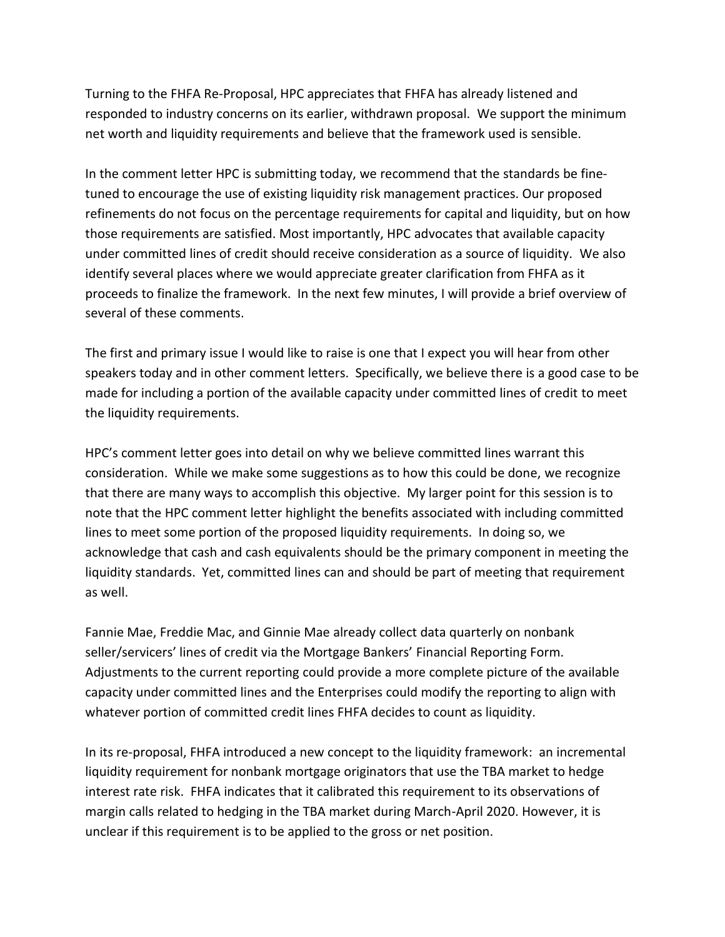Turning to the FHFA Re-Proposal, HPC appreciates that FHFA has already listened and responded to industry concerns on its earlier, withdrawn proposal. We support the minimum net worth and liquidity requirements and believe that the framework used is sensible.

In the comment letter HPC is submitting today, we recommend that the standards be finetuned to encourage the use of existing liquidity risk management practices. Our proposed refinements do not focus on the percentage requirements for capital and liquidity, but on how those requirements are satisfied. Most importantly, HPC advocates that available capacity under committed lines of credit should receive consideration as a source of liquidity. We also identify several places where we would appreciate greater clarification from FHFA as it proceeds to finalize the framework. In the next few minutes, I will provide a brief overview of several of these comments.

The first and primary issue I would like to raise is one that I expect you will hear from other speakers today and in other comment letters. Specifically, we believe there is a good case to be made for including a portion of the available capacity under committed lines of credit to meet the liquidity requirements.

HPC's comment letter goes into detail on why we believe committed lines warrant this consideration. While we make some suggestions as to how this could be done, we recognize that there are many ways to accomplish this objective. My larger point for this session is to note that the HPC comment letter highlight the benefits associated with including committed lines to meet some portion of the proposed liquidity requirements. In doing so, we acknowledge that cash and cash equivalents should be the primary component in meeting the liquidity standards. Yet, committed lines can and should be part of meeting that requirement as well.

Fannie Mae, Freddie Mac, and Ginnie Mae already collect data quarterly on nonbank seller/servicers' lines of credit via the Mortgage Bankers' Financial Reporting Form. Adjustments to the current reporting could provide a more complete picture of the available capacity under committed lines and the Enterprises could modify the reporting to align with whatever portion of committed credit lines FHFA decides to count as liquidity.

In its re-proposal, FHFA introduced a new concept to the liquidity framework: an incremental liquidity requirement for nonbank mortgage originators that use the TBA market to hedge interest rate risk. FHFA indicates that it calibrated this requirement to its observations of margin calls related to hedging in the TBA market during March-April 2020. However, it is unclear if this requirement is to be applied to the gross or net position.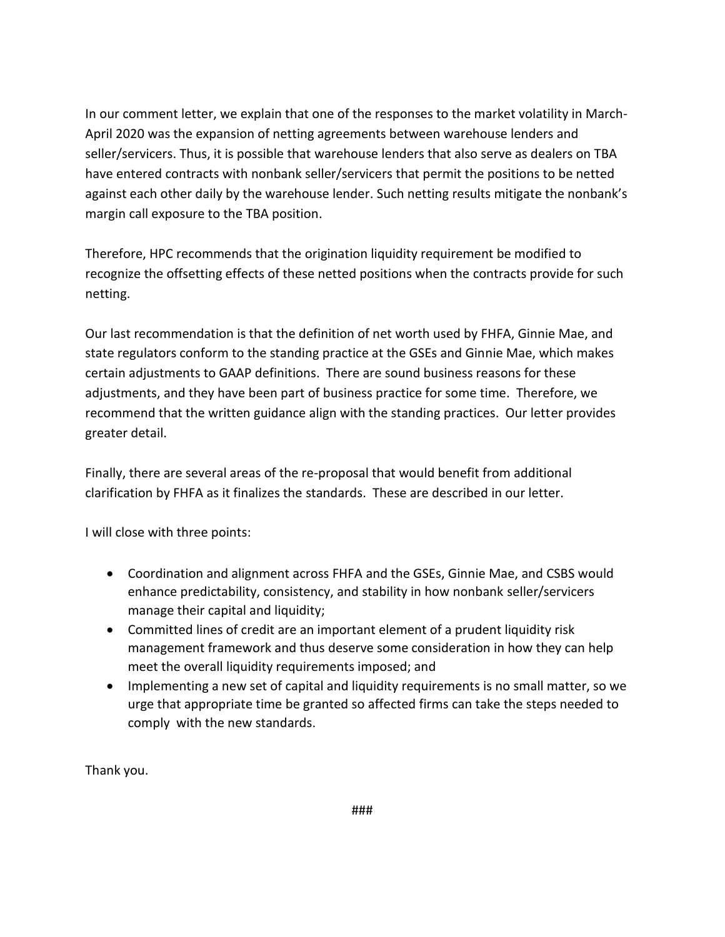In our comment letter, we explain that one of the responses to the market volatility in March-April 2020 was the expansion of netting agreements between warehouse lenders and seller/servicers. Thus, it is possible that warehouse lenders that also serve as dealers on TBA have entered contracts with nonbank seller/servicers that permit the positions to be netted against each other daily by the warehouse lender. Such netting results mitigate the nonbank's margin call exposure to the TBA position.

Therefore, HPC recommends that the origination liquidity requirement be modified to recognize the offsetting effects of these netted positions when the contracts provide for such netting.

Our last recommendation is that the definition of net worth used by FHFA, Ginnie Mae, and state regulators conform to the standing practice at the GSEs and Ginnie Mae, which makes certain adjustments to GAAP definitions. There are sound business reasons for these adjustments, and they have been part of business practice for some time. Therefore, we recommend that the written guidance align with the standing practices. Our letter provides greater detail.

Finally, there are several areas of the re-proposal that would benefit from additional clarification by FHFA as it finalizes the standards. These are described in our letter.

I will close with three points:

- Coordination and alignment across FHFA and the GSEs, Ginnie Mae, and CSBS would enhance predictability, consistency, and stability in how nonbank seller/servicers manage their capital and liquidity;
- Committed lines of credit are an important element of a prudent liquidity risk management framework and thus deserve some consideration in how they can help meet the overall liquidity requirements imposed; and
- Implementing a new set of capital and liquidity requirements is no small matter, so we urge that appropriate time be granted so affected firms can take the steps needed to comply with the new standards.

Thank you.